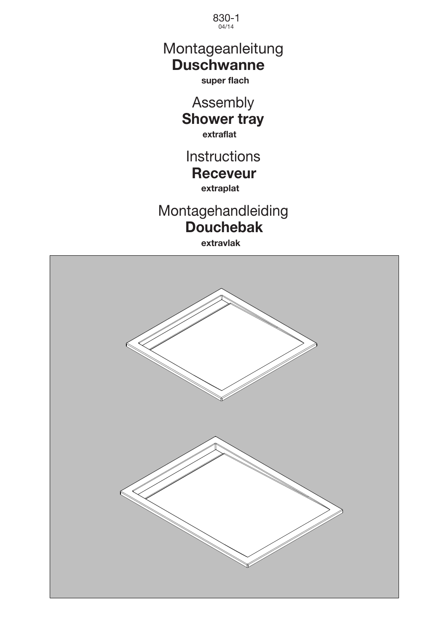830-1 04/14

# Montageanleitung **Duschwanne**

**super flach** 

Assembly **Shower tray extraflat**

**Instructions** 

# **Receveur**

**extraplat** 

Montagehandleiding **Douchebak** 

**extravlak** 

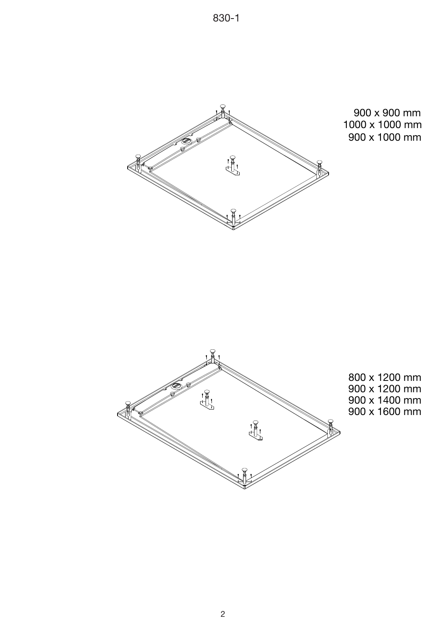

900 x 900 mm 1000 x 1000 mm 900 x 1000 mm

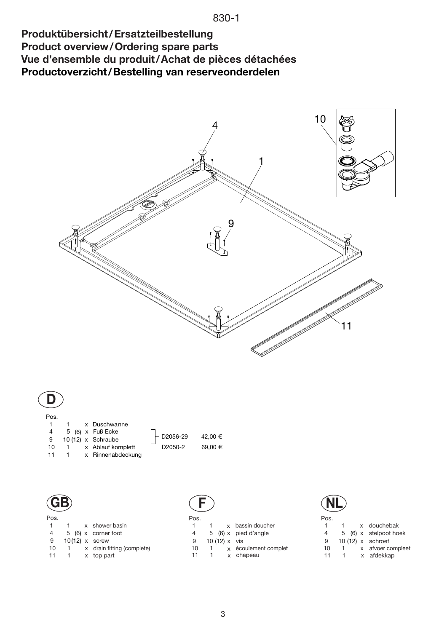### **Produktübersicht/Ersatzteilbestellung Product overview/Ordering spare parts Vue d'ensemble du produit/Achat de pièces détachées Productoverzicht/Bestelling van reserveonderdelen**



| Pos. |                  |                                 | Pos.             |  |                                                            | Pos. |                |              |
|------|------------------|---------------------------------|------------------|--|------------------------------------------------------------|------|----------------|--------------|
|      |                  | x shower basin                  |                  |  | x bassin doucher                                           |      |                | $\mathbf{x}$ |
|      |                  | 4 5 (6) x corner foot           |                  |  | $4 \quad 5 \quad (6) \times \text{ pied } d \text{'angle}$ |      | 5 (6) $\times$ |              |
|      | 9 10(12) x screw |                                 | 9 $10(12)$ x vis |  |                                                            |      | 9 $10(12)$ x   |              |
|      |                  | 10 1 x drain fitting (complete) |                  |  | 10 1 x écoulement complet                                  | 10   |                | $\mathsf{x}$ |
|      | 11 1 x top part  |                                 |                  |  | x chapeau                                                  |      |                | $\mathsf{x}$ |
|      |                  |                                 |                  |  |                                                            |      |                |              |



|                |                              | Pos. |               |                      | Pos. |                     |                       |
|----------------|------------------------------|------|---------------|----------------------|------|---------------------|-----------------------|
| $\overline{1}$ | x shower basin               |      |               | x bassin doucher     |      |                     | x douchebak           |
|                | 5 (6) x corner foot          | 4    |               | 5 (6) x pied d'angle | 4    |                     | 5 (6) x stelpoot hoek |
|                | $10(12)$ x screw             | 9    | 10 (12) x vis |                      |      | 9 10 (12) x schroef |                       |
|                | 1 x drain fitting (complete) | 10   |               | x écoulement complet | 10 1 |                     | x afvoer comple       |
|                | x top part                   |      |               | x chapeau            |      |                     | x afdekkap            |

| os.<br>٩ |  |
|----------|--|

| -טט.           |              |  |                       |
|----------------|--------------|--|-----------------------|
| -1             | 1.           |  | x douchebak           |
| $\overline{4}$ |              |  | 5 (6) x stelpoot hoek |
| 9              |              |  | 10 $(12)$ x schroef   |
| 10             | 1            |  | x afvoer compleet     |
| 11             | $\mathbf{1}$ |  | x afdekkap            |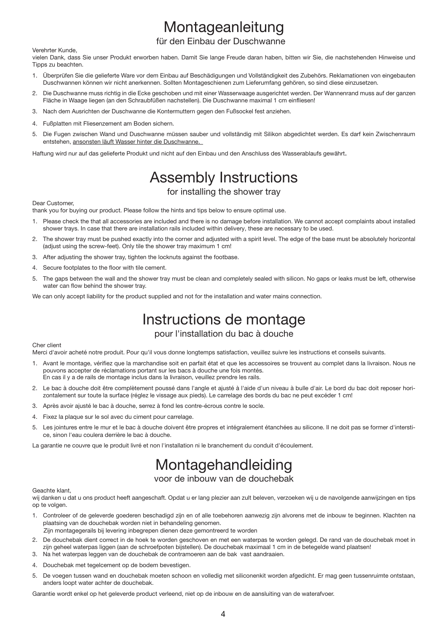# Montageanleitung

### für den Einbau der Duschwanne

#### Verehrter Kunde,

vielen Dank, dass Sie unser Produkt erworben haben. Damit Sie lange Freude daran haben, bitten wir Sie, die nachstehenden Hinweise und Tipps zu beachten.

- 1. Überprüfen Sie die gelieferte Ware vor dem Einbau auf Beschädigungen und Vollständigkeit des Zubehörs. Reklamationen von eingebauten Duschwannen können wir nicht anerkennen. Sollten Montageschienen zum Lieferumfang gehören, so sind diese einzusetzen.
- 2. Die Duschwanne muss richtig in die Ecke geschoben und mit einer Wasserwaage ausgerichtet werden. Der Wannenrand muss auf der ganzen Fläche in Waage liegen (an den Schraubfüßen nachstellen). Die Duschwanne maximal 1 cm einfliesen!
- 3. Nach dem Ausrichten der Duschwanne die Kontermuttern gegen den Fußsockel fest anziehen.
- 4. Fußplatten mit Fliesenzement am Boden sichern.
- 5. Die Fugen zwischen Wand und Duschwanne müssen sauber und vollständig mit Silikon abgedichtet werden. Es darf kein Zwischenraum entstehen, ansonsten läuft Wasser hinter die Duschwanne.

Haftung wird nur auf das gelieferte Produkt und nicht auf den Einbau und den Anschluss des Wasserablaufs gewährt.

# Assembly Instructions

### for installing the shower tray

#### Dear Customer,

thank you for buying our product. Please follow the hints and tips below to ensure optimal use.

- 1. Please check the that all accessories are included and there is no damage before installation. We cannot accept complaints about installed shower trays. In case that there are installation rails included within delivery, these are necessary to be used.
- 2. The shower tray must be pushed exactly into the corner and adjusted with a spirit level. The edge of the base must be absolutely horizontal (adjust using the screw-feet). Only tile the shower tray maximum 1 cm!
- 3. After adjusting the shower tray, tighten the locknuts against the footbase.
- 4. Secure footplates to the floor with tile cement.
- 5. The gaps between the wall and the shower tray must be clean and completely sealed with silicon. No gaps or leaks must be left, otherwise water can flow behind the shower tray.

We can only accept liability for the product supplied and not for the installation and water mains connection.

# Instructions de montage

### pour l'installation du bac à douche

#### Cher client

Merci d'avoir acheté notre produit. Pour qu'il vous donne longtemps satisfaction, veuillez suivre les instructions et conseils suivants.

- 1. Avant le montage, vérifiez que la marchandise soit en parfait état et que les accessoires se trouvent au complet dans la livraison. Nous ne pouvons accepter de réclamations portant sur les bacs à douche une fois montés. En cas il y a de rails de montage inclus dans la livraison, veuillez prendre les rails.
- 2. Le bac à douche doit être complètement poussé dans l'angle et ajusté à l'aide d'un niveau à bulle d'air. Le bord du bac doit reposer horizontalement sur toute la surface (réglez le vissage aux pieds). Le carrelage des bords du bac ne peut excéder 1 cm!
- 3. Après avoir ajusté le bac à douche, serrez à fond les contre-écrous contre le socle.
- 4. Fixez la plaque sur le sol avec du ciment pour carrelage.
- 5. Les jointures entre le mur et le bac à douche doivent être propres et intégralement étanchées au silicone. Il ne doit pas se former d'interstice, sinon l'eau coulera derrière le bac à douche.

La garantie ne couvre que le produit livré et non l'installation ni le branchement du conduit d'écoulement.

# Montagehandleiding

voor de inbouw van de douchebak

#### Geachte klant,

wij danken u dat u ons product heeft aangeschaft. Opdat u er lang plezier aan zult beleven, verzoeken wij u de navolgende aanwijzingen en tips op te volgen.

- 1. Controleer of de geleverde goederen beschadigd zijn en of alle toebehoren aanwezig zijn alvorens met de inbouw te beginnen. Klachten na plaatsing van de douchebak worden niet in behandeling genomen.
- Zijn montagegerails bij levering inbegrepen dienen deze gemontreerd te worden
- 2. De douchebak dient correct in de hoek te worden geschoven en met een waterpas te worden gelegd. De rand van de douchebak moet in zijn geheel waterpas liggen (aan de schroefpoten bijstellen). De douchebak maximaal 1 cm in de betegelde wand plaatsen!
- 3. Na het waterpas leggen van de douchebak de contramoeren aan de bak vast aandraaien.
- 4. Douchebak met tegelcement op de bodem bevestigen.
- 5. De voegen tussen wand en douchebak moeten schoon en volledig met siliconenkit worden afgedicht. Er mag geen tussenruimte ontstaan, anders loopt water achter de douchebak.

Garantie wordt enkel op het geleverde product verleend, niet op de inbouw en de aansluiting van de waterafvoer.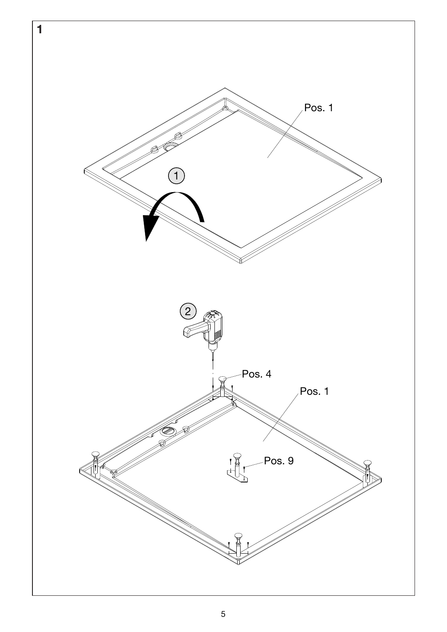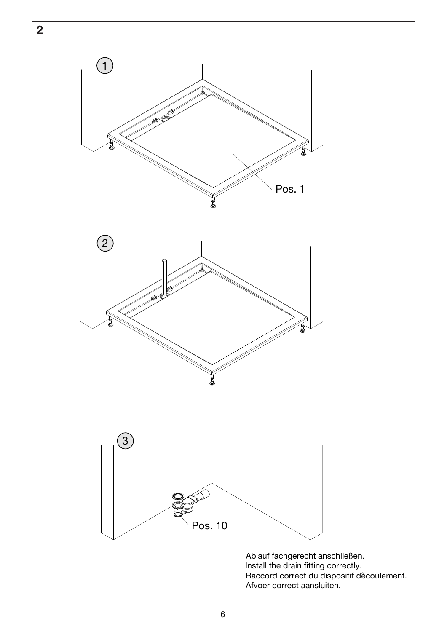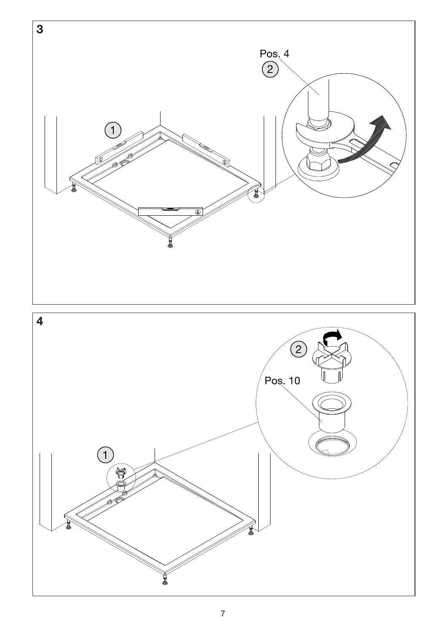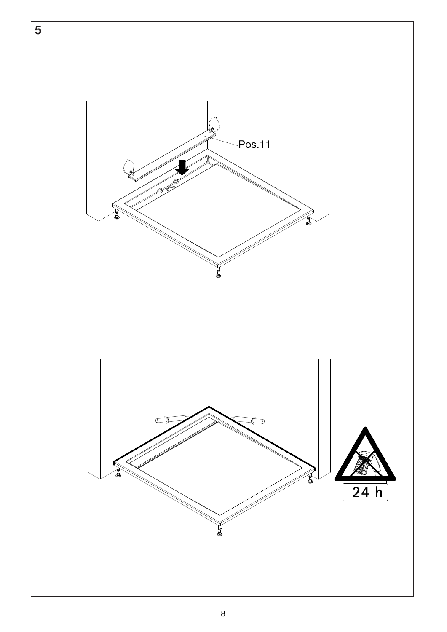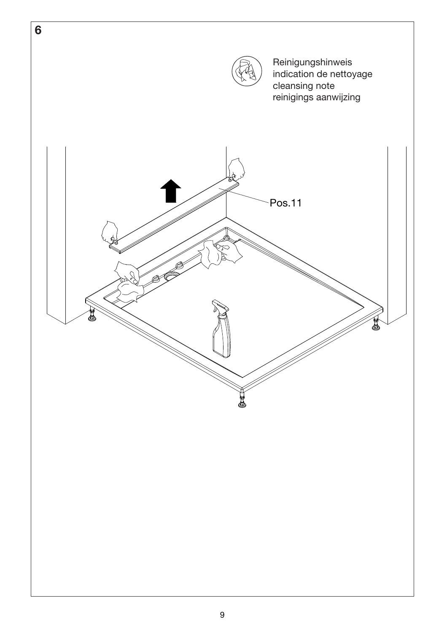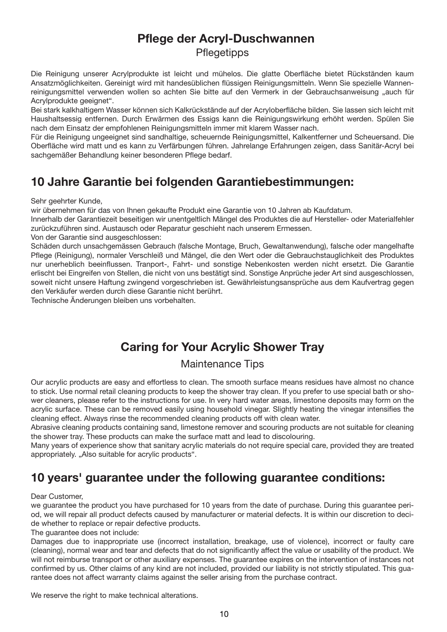# **Pflege der Acryl-Duschwannen**

**Pflegetipps** 

Die Reinigung unserer Acrylprodukte ist leicht und mühelos. Die glatte Oberfläche bietet Rückständen kaum Ansatzmöglichkeiten. Gereinigt wird mit handesüblichen flüssigen Reinigungsmitteln. Wenn Sie spezielle Wannenreinigungsmittel verwenden wollen so achten Sie bitte auf den Vermerk in der Gebrauchsanweisung "auch für Acrylprodukte geeignet".

Bei stark kalkhaltigem Wasser können sich Kalkrückstände auf der Acryloberfläche bilden. Sie lassen sich leicht mit Haushaltsessig entfernen. Durch Erwärmen des Essigs kann die Reinigungswirkung erhöht werden. Spülen Sie nach dem Einsatz der empfohlenen Reinigungsmitteln immer mit klarem Wasser nach.

Für die Reinigung ungeeignet sind sandhaltige, scheuernde Reinigungsmittel, Kalkentferner und Scheuersand. Die Oberfläche wird matt und es kann zu Verfärbungen führen. Jahrelange Erfahrungen zeigen, dass Sanitär-Acryl bei sachgemäßer Behandlung keiner besonderen Pflege bedarf.

## **10 Jahre Garantie bei folgenden Garantiebestimmungen:**

Sehr geehrter Kunde,

wir übernehmen für das von Ihnen gekaufte Produkt eine Garantie von 10 Jahren ab Kaufdatum.

Innerhalb der Garantiezeit beseitigen wir unentgeltlich Mängel des Produktes die auf Hersteller- oder Materialfehler zurückzuführen sind. Austausch oder Reparatur geschieht nach unserem Ermessen.

Von der Garantie sind ausgeschlossen:

Schäden durch unsachgemässen Gebrauch (falsche Montage, Bruch, Gewaltanwendung), falsche oder mangelhafte Pflege (Reinigung), normaler Verschleiß und Mängel, die den Wert oder die Gebrauchstauglichkeit des Produktes nur unerheblich beeinflussen. Tranport-, Fahrt- und sonstige Nebenkosten werden nicht ersetzt. Die Garantie erlischt bei Eingreifen von Stellen, die nicht von uns bestätigt sind. Sonstige Anprüche jeder Art sind ausgeschlossen, soweit nicht unsere Haftung zwingend vorgeschrieben ist. Gewährleistungsansprüche aus dem Kaufvertrag gegen den Verkäufer werden durch diese Garantie nicht berührt.

Technische Änderungen bleiben uns vorbehalten.

## **Caring for Your Acrylic Shower Tray**

Maintenance Tips

Our acrylic products are easy and effortless to clean. The smooth surface means residues have almost no chance to stick. Use normal retail cleaning products to keep the shower tray clean. If you prefer to use special bath or shower cleaners, please refer to the instructions for use. In very hard water areas, limestone deposits may form on the acrylic surface. These can be removed easily using household vinegar. Slightly heating the vinegar intensifies the cleaning effect. Always rinse the recommended cleaning products off with clean water.

Abrasive cleaning products containing sand, limestone remover and scouring products are not suitable for cleaning the shower tray. These products can make the surface matt and lead to discolouring.

Many years of experience show that sanitary acrylic materials do not require special care, provided they are treated appropriately. "Also suitable for acrylic products".

### **10 years' guarantee under the following guarantee conditions:**

Dear Customer,

we guarantee the product you have purchased for 10 years from the date of purchase. During this guarantee period, we will repair all product defects caused by manufacturer or material defects. It is within our discretion to decide whether to replace or repair defective products.

The guarantee does not include:

Damages due to inappropriate use (incorrect installation, breakage, use of violence), incorrect or faulty care (cleaning), normal wear and tear and defects that do not significantly affect the value or usability of the product. We will not reimburse transport or other auxiliary expenses. The guarantee expires on the intervention of instances not confirmed by us. Other claims of any kind are not included, provided our liability is not strictly stipulated. This guarantee does not affect warranty claims against the seller arising from the purchase contract.

We reserve the right to make technical alterations.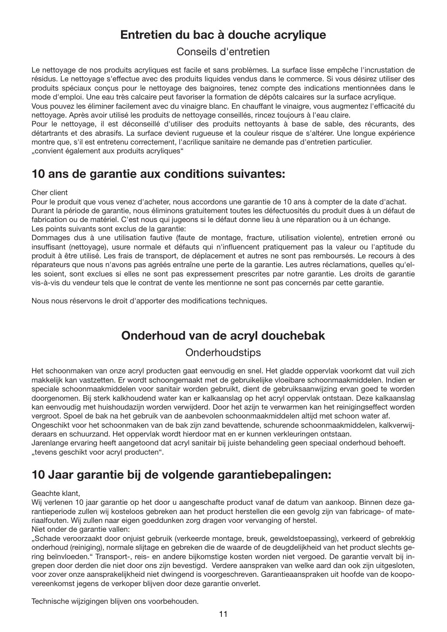## **Entretien du bac à douche acrylique**

### Conseils d'entretien

Le nettoyage de nos produits acryliques est facile et sans problèmes. La surface lisse empêche l'incrustation de résidus. Le nettoyage s'effectue avec des produits liquides vendus dans le commerce. Si vous désirez utiliser des produits spéciaux conçus pour le nettoyage des baignoires, tenez compte des indications mentionnées dans le mode d'emploi. Une eau très calcaire peut favoriser la formation de dépôts calcaires sur la surface acrylique.

Vous pouvez les éliminer facilement avec du vinaigre blanc. En chauffant le vinaigre, vous augmentez l'efficacité du nettoyage. Après avoir utilisé les produits de nettoyage conseillés, rincez toujours à l'eau claire.

Pour le nettoyage, il est déconseillé d'utiliser des produits nettoyants à base de sable, des récurants, des détartrants et des abrasifs. La surface devient rugueuse et la couleur risque de s'altérer. Une longue expérience montre que, s'il est entretenu correctement, l'acrilique sanitaire ne demande pas d'entretien particulier. "convient également aux produits acryliques"

### **10 ans de garantie aux conditions suivantes:**

Cher client

Pour le produit que vous venez d'acheter, nous accordons une garantie de 10 ans à compter de la date d'achat. Durant la période de garantie, nous éliminons gratuitement toutes les défectuosités du produit dues à un défaut de fabrication ou de matériel. C'est nous qui jugeons si le défaut donne lieu à une réparation ou à un échange. Les points suivants sont exclus de la garantie:

Dommages dus à une utilisation fautive (faute de montage, fracture, utilisation violente), entretien erroné ou insuffisant (nettoyage), usure normale et défauts qui n'influencent pratiquement pas la valeur ou l'aptitude du produit à être utilisé. Les frais de transport, de déplacement et autres ne sont pas remboursés. Le recours à des réparateurs que nous n'avons pas agréés entraîne une perte de la garantie. Les autres réclamations, quelles qu'elles soient, sont exclues si elles ne sont pas expressement prescrites par notre garantie. Les droits de garantie vis-à-vis du vendeur tels que le contrat de vente les mentionne ne sont pas concernés par cette garantie.

Nous nous réservons le droit d'apporter des modifications techniques.

## **Onderhoud van de acryl douchebak**

### **Onderhoudstips**

Het schoonmaken van onze acryl producten gaat eenvoudig en snel. Het gladde oppervlak voorkomt dat vuil zich makkelijk kan vastzetten. Er wordt schoongemaakt met de gebruikelijke vloeibare schoonmaakmiddelen. Indien er speciale schoonmaakmiddelen voor sanitair worden gebruikt, dient de gebruiksaanwijzing ervan goed te worden doorgenomen. Bij sterk kalkhoudend water kan er kalkaanslag op het acryl oppervlak ontstaan. Deze kalkaanslag kan eenvoudig met huishoudazijn worden verwijderd. Door het azijn te verwarmen kan het reinigingseffect worden vergroot. Spoel de bak na het gebruik van de aanbevolen schoonmaakmiddelen altijd met schoon water af.

Ongeschikt voor het schoonmaken van de bak zijn zand bevattende, schurende schoonmaakmiddelen, kalkverwijderaars en schuurzand. Het oppervlak wordt hierdoor mat en er kunnen verkleuringen ontstaan.

Jarenlange ervaring heeft aangetoond dat acryl sanitair bij juiste behandeling geen speciaal onderhoud behoeft. "tevens geschikt voor acryl producten".

## **10 Jaar garantie bij de volgende garantiebepalingen:**

### Geachte klant,

Wij verlenen 10 jaar garantie op het door u aangeschafte product vanaf de datum van aankoop. Binnen deze garantieperiode zullen wij kosteloos gebreken aan het product herstellen die een gevolg zijn van fabricage- of materiaalfouten. Wij zullen naar eigen goeddunken zorg dragen voor vervanging of herstel.

Niet onder de garantie vallen:

"Schade veroorzaakt door onjuist gebruik (verkeerde montage, breuk, geweldstoepassing), verkeerd of gebrekkig onderhoud (reiniging), normale slijtage en gebreken die de waarde of de deugdelijkheid van het product slechts gering beïnvloeden." Transport-, reis- en andere bijkomstige kosten worden niet vergoed. De garantie vervalt bij ingrepen door derden die niet door ons zijn bevestigd. Verdere aanspraken van welke aard dan ook zijn uitgesloten, voor zover onze aansprakelijkheid niet dwingend is voorgeschreven. Garantieaanspraken uit hoofde van de koopovereenkomst jegens de verkoper blijven door deze garantie onverlet.

Technische wijzigingen blijven ons voorbehouden.